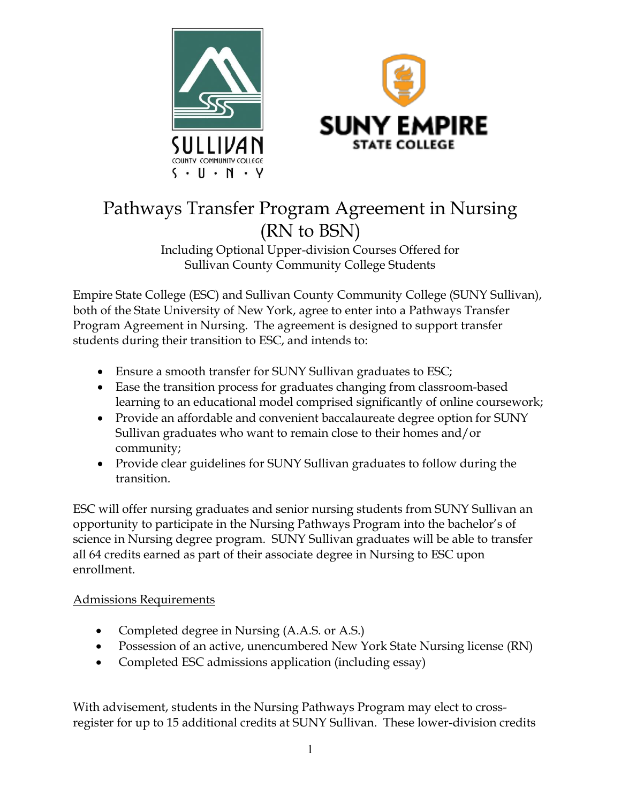



# Pathways Transfer Program Agreement in Nursing (RN to BSN)

# Including Optional Upper-division Courses Offered for Sullivan County Community College Students

Empire State College (ESC) and Sullivan County Community College (SUNY Sullivan), both of the State University of New York, agree to enter into a Pathways Transfer Program Agreement in Nursing. The agreement is designed to support transfer students during their transition to ESC, and intends to:

- Ensure a smooth transfer for SUNY Sullivan graduates to ESC;
- Ease the transition process for graduates changing from classroom-based learning to an educational model comprised significantly of online coursework;
- Provide an affordable and convenient baccalaureate degree option for SUNY Sullivan graduates who want to remain close to their homes and/or community;
- Provide clear guidelines for SUNY Sullivan graduates to follow during the transition.

ESC will offer nursing graduates and senior nursing students from SUNY Sullivan an opportunity to participate in the Nursing Pathways Program into the bachelor's of science in Nursing degree program. SUNY Sullivan graduates will be able to transfer all 64 credits earned as part of their associate degree in Nursing to ESC upon enrollment.

## Admissions Requirements

- Completed degree in Nursing (A.A.S. or A.S.)
- Possession of an active, unencumbered New York State Nursing license (RN)
- Completed ESC admissions application (including essay)

With advisement, students in the Nursing Pathways Program may elect to crossregister for up to 15 additional credits at SUNY Sullivan. These lower-division credits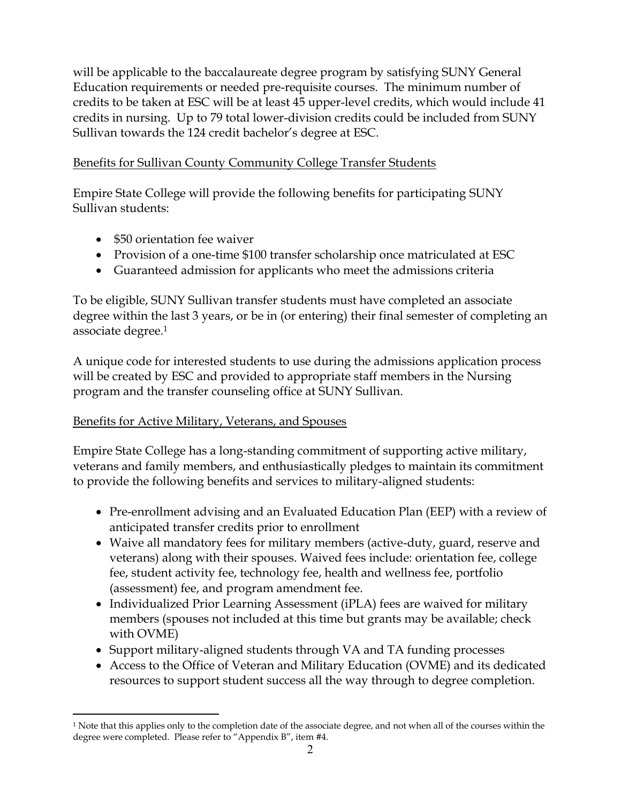will be applicable to the baccalaureate degree program by satisfying SUNY General Education requirements or needed pre-requisite courses. The minimum number of credits to be taken at ESC will be at least 45 upper-level credits, which would include 41 credits in nursing. Up to 79 total lower-division credits could be included from SUNY Sullivan towards the 124 credit bachelor's degree at ESC.

## Benefits for Sullivan County Community College Transfer Students

Empire State College will provide the following benefits for participating SUNY Sullivan students:

- \$50 orientation fee waiver
- Provision of a one-time \$100 transfer scholarship once matriculated at ESC
- Guaranteed admission for applicants who meet the admissions criteria

To be eligible, SUNY Sullivan transfer students must have completed an associate degree within the last 3 years, or be in (or entering) their final semester of completing an associate degree.1

A unique code for interested students to use during the admissions application process will be created by ESC and provided to appropriate staff members in the Nursing program and the transfer counseling office at SUNY Sullivan.

## Benefits for Active Military, Veterans, and Spouses

 $\overline{a}$ 

Empire State College has a long-standing commitment of supporting active military, veterans and family members, and enthusiastically pledges to maintain its commitment to provide the following benefits and services to military-aligned students:

- Pre-enrollment advising and an Evaluated Education Plan (EEP) with a review of anticipated transfer credits prior to enrollment
- Waive all mandatory fees for military members (active-duty, guard, reserve and veterans) along with their spouses. Waived fees include: orientation fee, college fee, student activity fee, technology fee, health and wellness fee, portfolio (assessment) fee, and program amendment fee.
- Individualized Prior Learning Assessment (iPLA) fees are waived for military members (spouses not included at this time but grants may be available; check with OVME)
- Support military-aligned students through VA and TA funding processes
- Access to the Office of Veteran and Military Education (OVME) and its dedicated resources to support student success all the way through to degree completion.

<sup>1</sup> Note that this applies only to the completion date of the associate degree, and not when all of the courses within the degree were completed. Please refer to "Appendix B", item #4.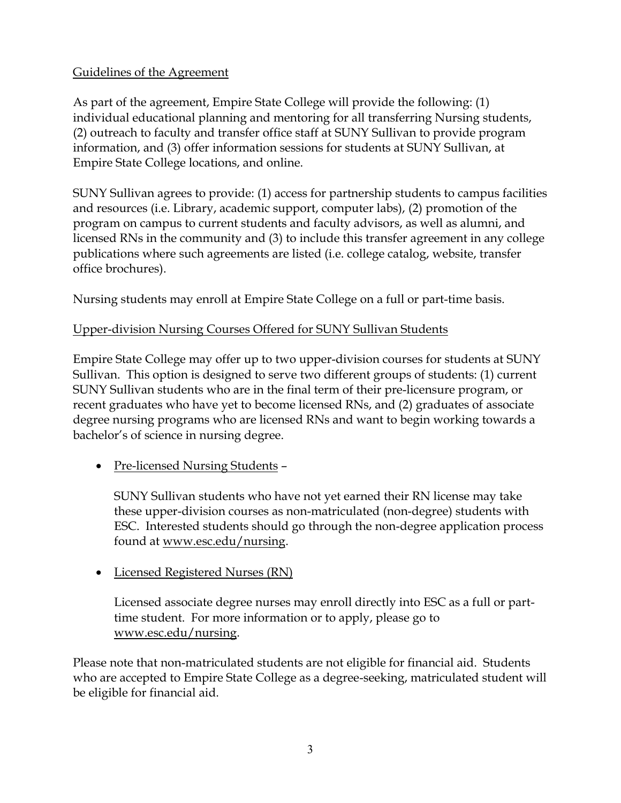## Guidelines of the Agreement

As part of the agreement, Empire State College will provide the following: (1) individual educational planning and mentoring for all transferring Nursing students, (2) outreach to faculty and transfer office staff at SUNY Sullivan to provide program information, and (3) offer information sessions for students at SUNY Sullivan, at Empire State College locations, and online.

SUNY Sullivan agrees to provide: (1) access for partnership students to campus facilities and resources (i.e. Library, academic support, computer labs), (2) promotion of the program on campus to current students and faculty advisors, as well as alumni, and licensed RNs in the community and (3) to include this transfer agreement in any college publications where such agreements are listed (i.e. college catalog, website, transfer office brochures).

Nursing students may enroll at Empire State College on a full or part-time basis.

## Upper-division Nursing Courses Offered for SUNY Sullivan Students

Empire State College may offer up to two upper-division courses for students at SUNY Sullivan. This option is designed to serve two different groups of students: (1) current SUNY Sullivan students who are in the final term of their pre-licensure program, or recent graduates who have yet to become licensed RNs, and (2) graduates of associate degree nursing programs who are licensed RNs and want to begin working towards a bachelor's of science in nursing degree.

• <u>Pre-licensed Nursing Students</u> –

SUNY Sullivan students who have not yet earned their RN license may take these upper-division courses as non-matriculated (non-degree) students with ESC. Interested students should go through the non-degree application process found at www.esc.edu/nursing.

• Licensed Registered Nurses (RN)

Licensed associate degree nurses may enroll directly into ESC as a full or parttime student. For more information or to apply, please go to www.esc.edu/nursing.

Please note that non-matriculated students are not eligible for financial aid. Students who are accepted to Empire State College as a degree-seeking, matriculated student will be eligible for financial aid.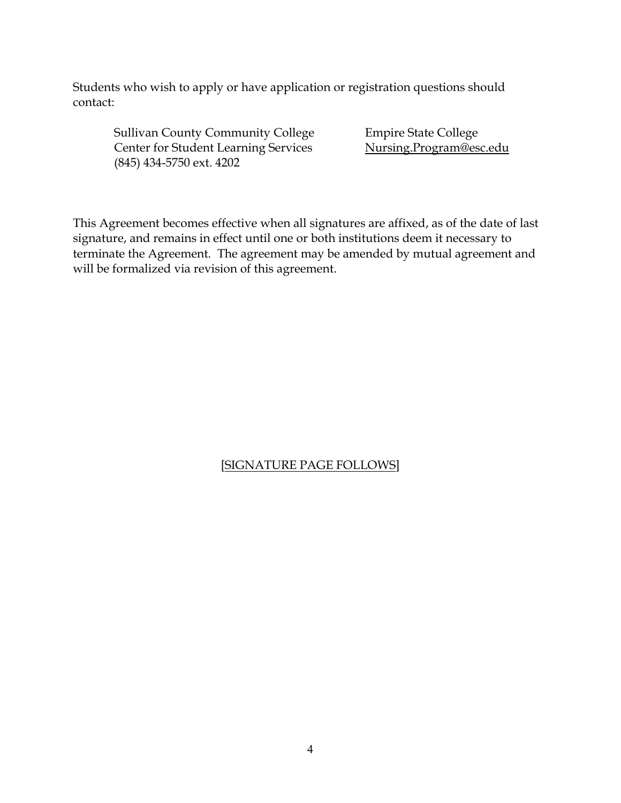Students who wish to apply or have application or registration questions should contact:

Sullivan County Community College Empire State College Center for Student Learning Services Nursing.Program@esc.edu (845) 434-5750 ext. 4202

This Agreement becomes effective when all signatures are affixed, as of the date of last signature, and remains in effect until one or both institutions deem it necessary to terminate the Agreement. The agreement may be amended by mutual agreement and will be formalized via revision of this agreement.

#### [SIGNATURE PAGE FOLLOWS]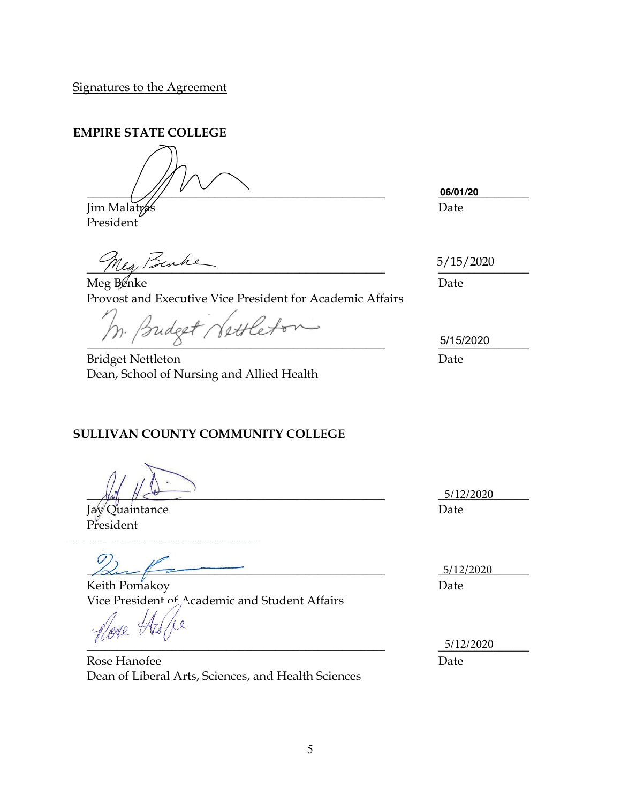**EMPIRE STATE COLLEGE**

\_\_\_\_\_\_\_\_\_\_\_\_\_\_\_\_\_\_\_\_\_\_\_\_\_\_\_\_\_\_\_\_\_\_\_\_\_\_\_\_\_\_\_\_\_\_\_\_\_ \_\_\_\_\_\_\_\_\_\_\_\_\_\_\_

Jim Malatras Date President

 $M_{4}$ , survey and the set of  $M_{4}$ 

Meg Benke Date Provost and Executive Vice President for Academic Affairs

Vettleto mdeet,  $\frac{5/15/2020}{2}$ 

Bridget Nettleton Date Dean, School of Nursing and Allied Health

**SULLIVAN COUNTY COMMUNITY COLLEGE**

 $\frac{5}{12/2020}$ 

Jay Quaintance Date President

 $\frac{5/12/2020}{2}$ 

Keith Pomakoy Date Vice President of Academic and Student Affairs

 $\overline{\phantom{a}}$ 

Rose Hanofee Dean of Liberal Arts, Sciences, and Health Sciences **06/01/20**

5/15/2020

5/15/2020

5/12/2020 Date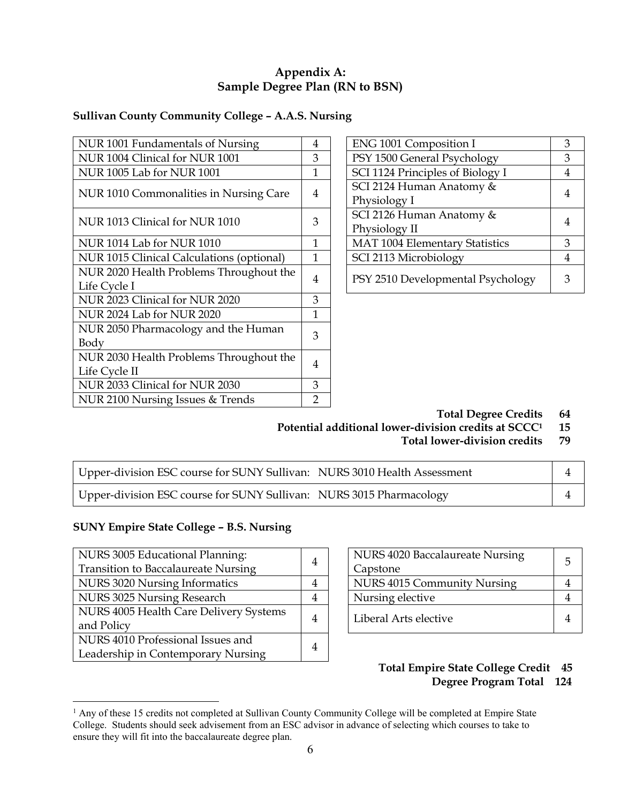#### **Appendix A: Sample Degree Plan (RN to BSN)**

### **Sullivan County Community College – A.A.S. Nursing**

| NUR 1001 Fundamentals of Nursing          | 4              | ENG 1001 Composition I            | 3 |
|-------------------------------------------|----------------|-----------------------------------|---|
| NUR 1004 Clinical for NUR 1001            | 3              | PSY 1500 General Psychology       | 3 |
| <b>NUR 1005 Lab for NUR 1001</b>          | 1              | SCI 1124 Principles of Biology I  | 4 |
| NUR 1010 Commonalities in Nursing Care    | 4              | SCI 2124 Human Anatomy &          | 4 |
|                                           |                | Physiology I                      |   |
| NUR 1013 Clinical for NUR 1010            | 3              | SCI 2126 Human Anatomy &          | 4 |
|                                           |                | Physiology II                     |   |
| <b>NUR 1014 Lab for NUR 1010</b>          | 1              | MAT 1004 Elementary Statistics    | 3 |
| NUR 1015 Clinical Calculations (optional) | $\mathbf{1}$   | SCI 2113 Microbiology             | 4 |
| NUR 2020 Health Problems Throughout the   |                |                                   | 3 |
| Life Cycle I                              | 4              | PSY 2510 Developmental Psychology |   |
| NUR 2023 Clinical for NUR 2020            | 3              |                                   |   |
| NUR 2024 Lab for NUR 2020                 | 1              |                                   |   |
| NUR 2050 Pharmacology and the Human       | 3              |                                   |   |
| Body                                      |                |                                   |   |
| NUR 2030 Health Problems Throughout the   | 4              |                                   |   |
| Life Cycle II                             |                |                                   |   |
| NUR 2033 Clinical for NUR 2030            | 3              |                                   |   |
| NUR 2100 Nursing Issues & Trends          | $\overline{2}$ |                                   |   |

| ENG 1001 Composition I            |   |
|-----------------------------------|---|
| PSY 1500 General Psychology       |   |
| SCI 1124 Principles of Biology I  |   |
| SCI 2124 Human Anatomy &          |   |
| Physiology I                      |   |
| SCI 2126 Human Anatomy &          |   |
| Physiology II                     |   |
| MAT 1004 Elementary Statistics    | 3 |
| SCI 2113 Microbiology             |   |
| PSY 2510 Developmental Psychology |   |

**Total Degree Credits 64**

Potential additional lower-division credits at SCCC<sup>1</sup> 15

**Total lower-division credits 79** 

| Upper-division ESC course for SUNY Sullivan: NURS 3010 Health Assessment |  |
|--------------------------------------------------------------------------|--|
| Upper-division ESC course for SUNY Sullivan: NURS 3015 Pharmacology      |  |

#### **SUNY Empire State College – B.S. Nursing**

| NURS 3005 Educational Planning:            |                |                             | NURS 4020 Baccalaureate Nursing | 5 |  |                       |                |
|--------------------------------------------|----------------|-----------------------------|---------------------------------|---|--|-----------------------|----------------|
| <b>Transition to Baccalaureate Nursing</b> | $\overline{4}$ | Capstone                    |                                 |   |  |                       |                |
| NURS 3020 Nursing Informatics              | 4              | NURS 4015 Community Nursing | $\Lambda$                       |   |  |                       |                |
| NURS 3025 Nursing Research                 | 4              | Nursing elective            | 4                               |   |  |                       |                |
| NURS 4005 Health Care Delivery Systems     |                |                             |                                 | 4 |  | Liberal Arts elective | $\overline{4}$ |
| and Policy                                 |                |                             |                                 |   |  |                       |                |
| NURS 4010 Professional Issues and          | 4              |                             |                                 |   |  |                       |                |
| Leadership in Contemporary Nursing         |                |                             |                                 |   |  |                       |                |

| NURS 4020 Baccalaureate Nursing<br>Capstone | 5 |
|---------------------------------------------|---|
|                                             |   |
| NURS 4015 Community Nursing                 |   |
| Nursing elective                            |   |
| Liberal Arts elective                       |   |

#### **Total Empire State College Credit 45 Degree Program Total 124**

<sup>&</sup>lt;sup>1</sup> Any of these 15 credits not completed at Sullivan County Community College will be completed at Empire State College. Students should seek advisement from an ESC advisor in advance of selecting which courses to take to ensure they will fit into the baccalaureate degree plan.